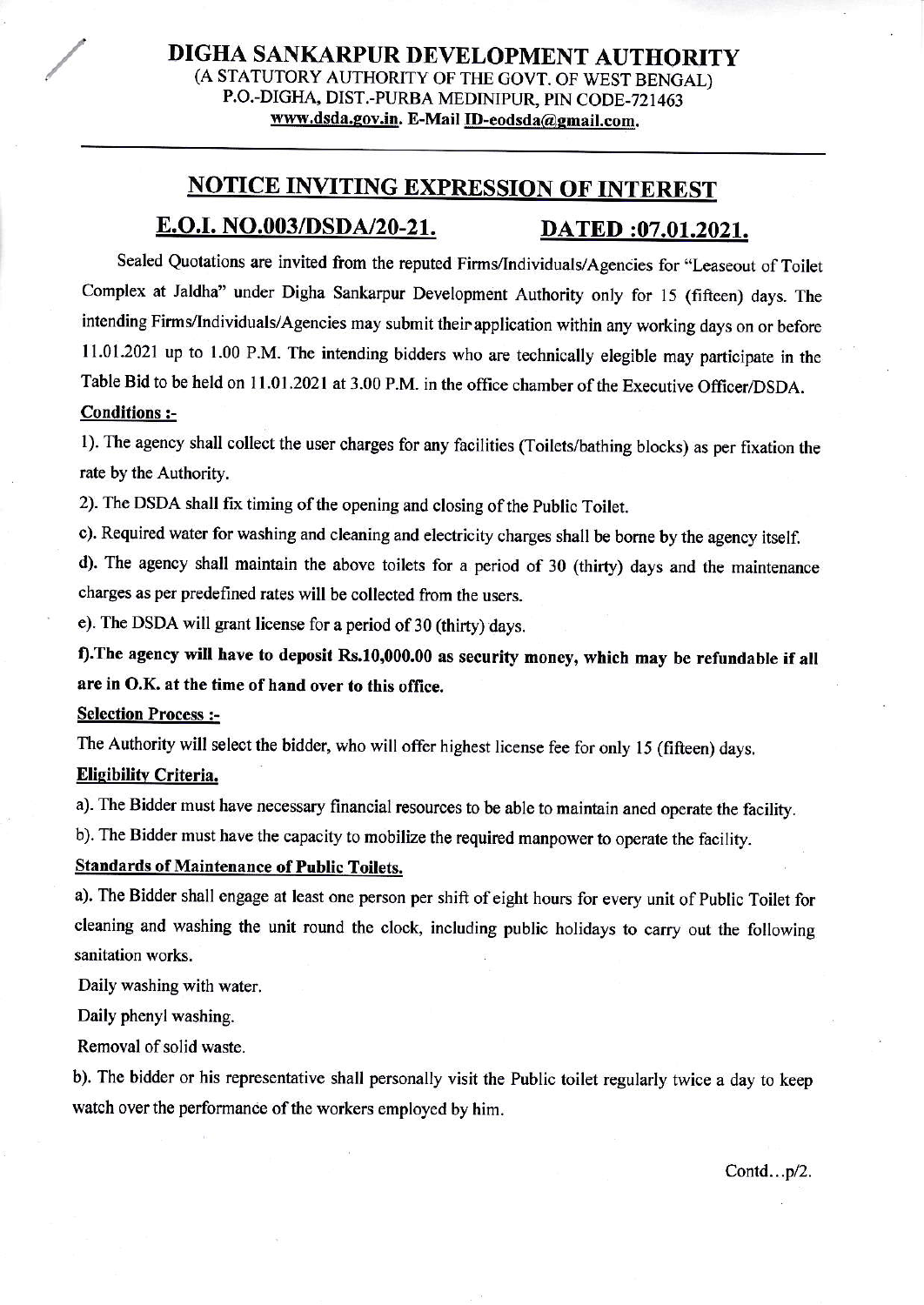# **NOTICE INVITING EXPRESSION OF INTEREST** E.O.I. NO.003/DSDA/20-21. DATED :07.01.2021.

Sealed Quotations are invited from the reputed Firms/Individuals/Agencies for "Leaseout of Toilet Complex at Jaldha" under Digha Sankarpur Development Authority only for 15 (fifteen) days. The intending Firms/Individuals/Agencies may submit their application within any working days on or before 11.01.2021 up to 1.00 P,M. The intending bidders who are technically elegible may participate in the Table Bid to be held on 11.01.2021 at 3.00 P.M. in the office chamber of the Executive Officer/DSDA.

## Conditions :-

1). The agency shall collect the user charges for any facilities (Toilets/bathing blocks) as per fixation the rate by the Authority.

2). The DSDA shall fix timing of the opening and closing of the Public Toilet.

c). Requircd water for washing and cleaning and electricity oharges shall be bome by the agency itself.

d). The agency shall maintain the above toilets for a period of 30 (thirty) days and the maintenance charges as per predefined rates will be collected from the users.

e). The DSDA will grant license for a period of 30 (thirty) days.

f). The agency will have to deposit Rs.10,000.00 as security money, which may be refundable if all are in O.K. at the time of hand over to this office.

## Selection Process :-

The Authority will select the bidder, who will offer highest license fee for only 15 (fifteen) days.

#### Eliqibilitv Criteria.

a). The Bidder must have necessary financial resources to be able to maintain aned operate the facility.

b). The Bidder must have the capacity to mobilize the required manpower to operate the facility.

## Standards of Maintenance of Public Toilets.

a). The Bidder shall engage at least one person per shift of eight hours for every unit of Public Toilet for cleaning and washing the unit round the clock, including public holidays to carry out the following sanitation works.

Daily washing with water,

Daily phenyl washing.

Removal of solid waste.

b). The bidder or his representative shall personally visit the Public toilet regularly twice a day ro keep watch over the performance of the workers employed by him.

Contd... $p/2$ .